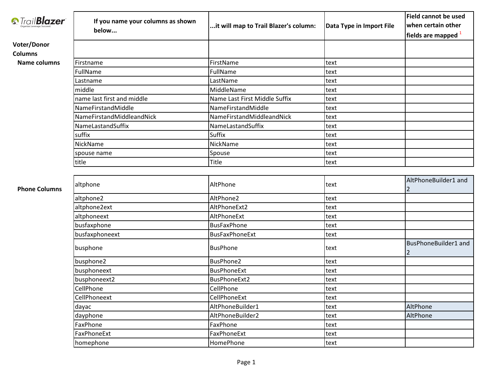|                                           |                                   |                                       |                          | Field cannot be used             |
|-------------------------------------------|-----------------------------------|---------------------------------------|--------------------------|----------------------------------|
| <b><i><u><i>S</i></u></i></b> TrailBlazer | If you name your columns as shown | it will map to Trail Blazer's column: | Data Type in Import File | when certain other               |
|                                           | below                             |                                       |                          | fields are mapped <sup>1</sup>   |
| Voter/Donor                               |                                   |                                       |                          |                                  |
| <b>Columns</b>                            |                                   |                                       |                          |                                  |
| <b>Name columns</b>                       | Firstname                         | FirstName                             | text                     |                                  |
|                                           | FullName                          | FullName                              | text                     |                                  |
|                                           | Lastname                          | LastName                              | text                     |                                  |
|                                           | middle                            | MiddleName                            | text                     |                                  |
|                                           | name last first and middle        | Name Last First Middle Suffix         | text                     |                                  |
|                                           | NameFirstandMiddle                | NameFirstandMiddle                    | text                     |                                  |
|                                           | NameFirstandMiddleandNick         | NameFirstandMiddleandNick             | text                     |                                  |
|                                           | NameLastandSuffix                 | NameLastandSuffix                     | text                     |                                  |
|                                           | suffix                            | Suffix                                | text                     |                                  |
|                                           | NickName                          | NickName                              | text                     |                                  |
|                                           | spouse name                       | Spouse                                | text                     |                                  |
|                                           | title                             | <b>Title</b>                          | text                     |                                  |
|                                           |                                   |                                       |                          |                                  |
| <b>Phone Columns</b>                      | altphone                          | AltPhone                              | text                     | AltPhoneBuilder1 and<br>2        |
|                                           | altphone2                         | AltPhone2                             | text                     |                                  |
|                                           | altphone2ext                      | AltPhoneExt2                          | text                     |                                  |
|                                           | altphoneext                       | AltPhoneExt                           | text                     |                                  |
|                                           | busfaxphone                       | <b>BusFaxPhone</b>                    | text                     |                                  |
|                                           | busfaxphoneext                    | <b>BusFaxPhoneExt</b>                 | text                     |                                  |
|                                           | busphone                          | <b>BusPhone</b>                       | text                     | <b>BusPhoneBuilder1 and</b><br>2 |
|                                           | busphone2                         | <b>BusPhone2</b>                      | text                     |                                  |
|                                           | busphoneext                       | <b>BusPhoneExt</b>                    | text                     |                                  |
|                                           | busphoneext2                      | <b>BusPhoneExt2</b>                   | text                     |                                  |
|                                           | CellPhone                         | CellPhone                             | text                     |                                  |
|                                           | CellPhoneext                      | CellPhoneExt                          | text                     |                                  |
|                                           | dayac                             | AltPhoneBuilder1                      | text                     | AltPhone                         |
|                                           | dayphone                          | AltPhoneBuilder2                      | text                     | AltPhone                         |
|                                           | FaxPhone                          | FaxPhone                              | text                     |                                  |
|                                           | FaxPhoneExt                       | FaxPhoneExt                           | text                     |                                  |
|                                           | homephone                         | HomePhone                             | text                     |                                  |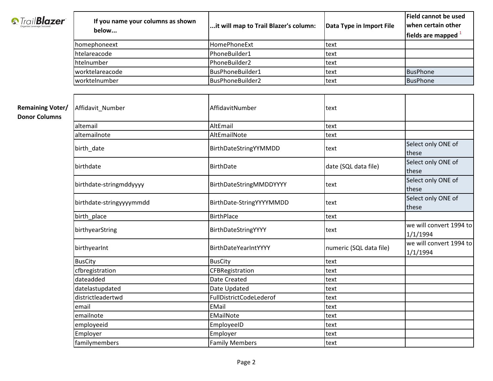|                                                 |                                   |                                       |                          | <b>Field cannot be used</b>         |
|-------------------------------------------------|-----------------------------------|---------------------------------------|--------------------------|-------------------------------------|
| <b><i><u><i>S</i></u></i></b> TrailBlazer       | If you name your columns as shown | it will map to Trail Blazer's column: | Data Type in Import File | when certain other                  |
|                                                 | below                             |                                       |                          | fields are mapped $1$               |
|                                                 | homephoneext                      | HomePhoneExt                          | text                     |                                     |
|                                                 | htelareacode                      | PhoneBuilder1                         | text                     |                                     |
|                                                 | htelnumber                        | PhoneBuilder2                         | text                     |                                     |
|                                                 | worktelareacode                   | BusPhoneBuilder1                      | text                     | <b>BusPhone</b>                     |
|                                                 | worktelnumber                     | BusPhoneBuilder2                      | text                     | <b>BusPhone</b>                     |
|                                                 |                                   |                                       |                          |                                     |
| <b>Remaining Voter/</b><br><b>Donor Columns</b> | Affidavit_Number                  | AffidavitNumber                       | text                     |                                     |
|                                                 | altemail                          | AltEmail                              | text                     |                                     |
|                                                 | altemailnote                      | AltEmailNote                          | text                     |                                     |
|                                                 | birth_date                        | BirthDateStringYYMMDD                 | text                     | Select only ONE of<br>these         |
|                                                 | birthdate                         | <b>BirthDate</b>                      | date (SQL data file)     | Select only ONE of<br>these         |
|                                                 | birthdate-stringmddyyyy           | BirthDateStringMMDDYYYY               | text                     | Select only ONE of<br>these         |
|                                                 | birthdate-stringyyyymmdd          | BirthDate-StringYYYYMMDD              | text                     | Select only ONE of<br>these         |
|                                                 | birth_place                       | <b>BirthPlace</b>                     | text                     |                                     |
|                                                 | birthyearString                   | BirthDateStringYYYY                   | text                     | we will convert 1994 to<br>1/1/1994 |
|                                                 | birthyearInt                      | BirthDateYearIntYYYY                  | numeric (SQL data file)  | we will convert 1994 to<br>1/1/1994 |
|                                                 | <b>BusCity</b>                    | <b>BusCity</b>                        | text                     |                                     |
|                                                 | cfbregistration                   | CFBRegistration                       | text                     |                                     |
|                                                 | dateadded                         | Date Created                          | text                     |                                     |
|                                                 | datelastupdated                   | Date Updated                          | text                     |                                     |
|                                                 | districtleadertwd                 | FullDistrictCodeLederof               | text                     |                                     |
|                                                 | email                             | EMail                                 | text                     |                                     |
|                                                 | emailnote                         | EMailNote                             | text                     |                                     |
|                                                 | employeeid                        | EmployeeID                            | text                     |                                     |
|                                                 | Employer                          | Employer                              | text                     |                                     |
|                                                 | familymembers                     | <b>Family Members</b>                 | text                     |                                     |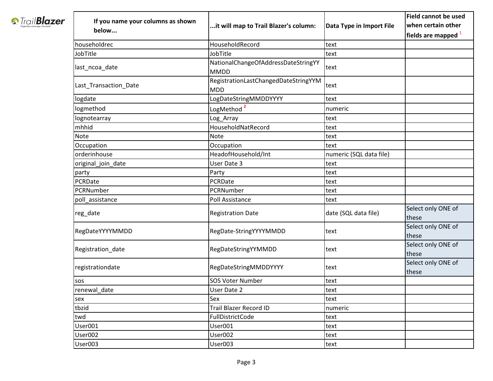|                                                 |                                   |                                                    |                          | <b>Field cannot be used</b> |
|-------------------------------------------------|-----------------------------------|----------------------------------------------------|--------------------------|-----------------------------|
| <b><i><u><i><u>StrailBlazer</u></i></u></i></b> | If you name your columns as shown | it will map to Trail Blazer's column:              | Data Type in Import File | when certain other          |
|                                                 | below                             |                                                    |                          | fields are mapped           |
|                                                 | householdrec                      | HouseholdRecord                                    | text                     |                             |
|                                                 | <b>JobTitle</b>                   | JobTitle                                           | text                     |                             |
|                                                 | last_ncoa_date                    | NationalChangeOfAddressDateStringYY<br><b>MMDD</b> | text                     |                             |
|                                                 | Last_Transaction_Date             | RegistrationLastChangedDateStringYYM<br><b>MDD</b> | text                     |                             |
|                                                 | logdate                           | LogDateStringMMDDYYYY                              | text                     |                             |
|                                                 | ogmethod                          | LogMethod <sup>2</sup>                             | numeric                  |                             |
|                                                 | ognotearray                       | Log_Array                                          | text                     |                             |
|                                                 | mhhid                             | HouseholdNatRecord                                 | text                     |                             |
|                                                 | Note                              | Note                                               | text                     |                             |
|                                                 | Occupation                        | Occupation                                         | text                     |                             |
|                                                 | orderinhouse                      | HeadofHousehold/Int                                | numeric (SQL data file)  |                             |
|                                                 | original_join_date                | User Date 3                                        | text                     |                             |
|                                                 | party                             | Party                                              | text                     |                             |
|                                                 | PCRDate                           | PCRDate                                            | text                     |                             |
|                                                 | PCRNumber                         | PCRNumber                                          | text                     |                             |
|                                                 | poll_assistance                   | Poll Assistance                                    | text                     |                             |
|                                                 | reg_date                          | <b>Registration Date</b>                           | date (SQL data file)     | Select only ONE of<br>these |
|                                                 | RegDateYYYYMMDD                   | RegDate-StringYYYYMMDD                             | text                     | Select only ONE of<br>these |
|                                                 | Registration_date                 | RegDateStringYYMMDD                                | text                     | Select only ONE of<br>these |
|                                                 | registrationdate                  | <b>RegDateStringMMDDYYYY</b>                       | text                     | Select only ONE of<br>these |
|                                                 | sos                               | <b>SOS Voter Number</b>                            | text                     |                             |
|                                                 | renewal_date                      | <b>User Date 2</b>                                 | text                     |                             |
|                                                 | sex                               | Sex                                                | text                     |                             |
|                                                 | tbzid                             | <b>Trail Blazer Record ID</b>                      | numeric                  |                             |
|                                                 | twd                               | FullDistrictCode                                   | text                     |                             |
|                                                 | User001                           | User001                                            | text                     |                             |
|                                                 | User002                           | User002                                            | text                     |                             |
|                                                 | User003                           | User003                                            | text                     |                             |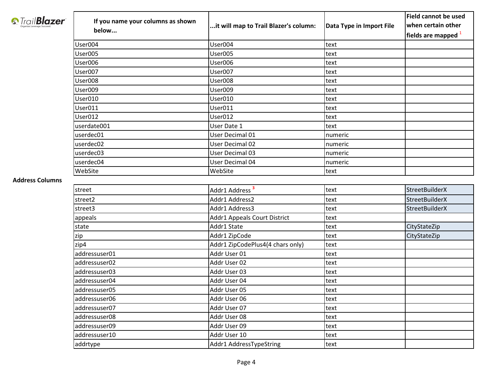|                                           |                                   |                                       |                          | <b>Field cannot be used</b>    |
|-------------------------------------------|-----------------------------------|---------------------------------------|--------------------------|--------------------------------|
| <i><b><i>S</i></b> Trail<b>Blazer</b></i> | If you name your columns as shown | it will map to Trail Blazer's column: | Data Type in Import File | when certain other             |
|                                           | below                             |                                       |                          | fields are mapped <sup>1</sup> |
|                                           | User004                           | User004                               | text                     |                                |
|                                           | User005                           | User005                               | text                     |                                |
|                                           | User006                           | User006                               | text                     |                                |
|                                           | User007                           | User007                               | text                     |                                |
|                                           | User008                           | User008                               | text                     |                                |
|                                           | User009                           | User009                               | text                     |                                |
|                                           | User010                           | User010                               | text                     |                                |
|                                           | User011                           | User011                               | text                     |                                |
|                                           | User012                           | User012                               | text                     |                                |
|                                           | userdate001                       | User Date 1                           | text                     |                                |
|                                           | userdec01                         | User Decimal 01                       | numeric                  |                                |
|                                           | userdec02                         | <b>User Decimal 02</b>                | numeric                  |                                |
|                                           | userdec03                         | User Decimal 03                       | numeric                  |                                |
|                                           | userdec04                         | User Decimal 04                       | numeric                  |                                |
|                                           | WebSite                           | WebSite                               | text                     |                                |
| <b>Address Columns</b>                    |                                   |                                       |                          |                                |
|                                           | street                            | Addr1 Address <sup>3</sup>            | text                     | <b>StreetBuilderX</b>          |
|                                           | street2                           | Addr1 Address2                        | text                     | <b>StreetBuilderX</b>          |
|                                           | street3                           | Addr1 Address3                        | text                     | <b>StreetBuilderX</b>          |
|                                           | appeals                           | Addr1 Appeals Court District          | text                     |                                |
|                                           | state                             | Addr1 State                           | text                     | CityStateZip                   |
|                                           | zip                               | Addr1 ZipCode                         | text                     | CityStateZip                   |
|                                           | zip4                              | Addr1 ZipCodePlus4(4 chars only)      | text                     |                                |
|                                           | addressuser01                     | Addr User 01                          | text                     |                                |
|                                           | addressuser02                     | Addr User 02                          | text                     |                                |
|                                           | addressuser03                     | Addr User 03                          | text                     |                                |
|                                           | addressuser04                     | Addr User 04                          | text                     |                                |
|                                           | addressuser05                     | Addr User 05                          | text                     |                                |
|                                           | addressuser06                     | Addr User 06                          | text                     |                                |
|                                           | addressuser07                     | Addr User 07                          | text                     |                                |
|                                           | addressuser08                     | Addr User 08                          | text                     |                                |
|                                           | addressuser09                     | Addr User 09                          | text                     |                                |
|                                           | addressuser10                     | Addr User 10                          | text                     |                                |
|                                           | addrtype                          | Addr1 AddressTypeString               | text                     |                                |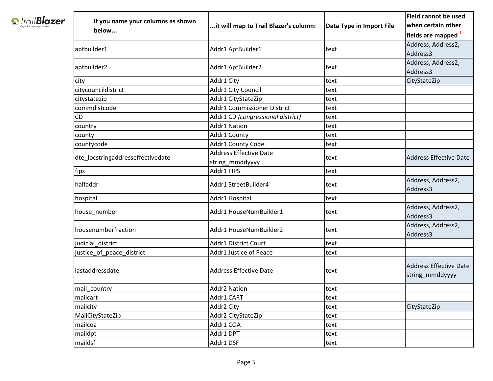|                                     |                                   |                                           |                          | <b>Field cannot be used</b>                      |
|-------------------------------------|-----------------------------------|-------------------------------------------|--------------------------|--------------------------------------------------|
| <b><i>S</i></b> Trail <b>Blazer</b> | If you name your columns as shown | it will map to Trail Blazer's column:     | Data Type in Import File | when certain other                               |
|                                     | below                             |                                           |                          | fields are mapped                                |
|                                     |                                   |                                           |                          | Address, Address2,                               |
|                                     | aptbuilder1                       | Addr1 AptBuilder1                         | text                     | Address3                                         |
|                                     | aptbuilder2                       | Addr1 AptBuilder2                         | text                     | Address, Address2,<br>Address3                   |
|                                     | city                              | Addr1 City                                | text                     | CityStateZip                                     |
|                                     | citycouncildistrict               | Addr1 City Council                        | text                     |                                                  |
|                                     | citystatezip                      | Addr1 CityStateZip                        | text                     |                                                  |
|                                     | commdistcode                      | Addr1 Commissioner District               | text                     |                                                  |
|                                     | <b>CD</b>                         | Addr1 CD (congressional district)         | text                     |                                                  |
|                                     | country                           | Addr1 Nation                              | text                     |                                                  |
|                                     | county                            | Addr1 County                              | text                     |                                                  |
|                                     | countycode                        | Addr1 County Code                         | text                     |                                                  |
|                                     | dte locstringaddresseffectivedate | Address Effective Date<br>string_mmddyyyy | text                     | <b>Address Effective Date</b>                    |
|                                     | fips                              | Addr1 FIPS                                | text                     |                                                  |
|                                     | halfaddr                          | Addr1 StreetBuilder4                      | text                     | Address, Address2,<br>Address3                   |
|                                     | hospital                          | Addr1 Hospital                            | text                     |                                                  |
|                                     | house_number                      | Addr1 HouseNumBuilder1                    | text                     | Address, Address2,<br>Address3                   |
|                                     | housenumberfraction               | Addr1 HouseNumBuilder2                    | text                     | Address, Address2,<br>Address3                   |
|                                     | judicial_district                 | Addr1 District Court                      | text                     |                                                  |
|                                     | justice_of_peace_district         | Addr1 Justice of Peace                    | text                     |                                                  |
|                                     | lastaddressdate                   | Address Effective Date                    | text                     | <b>Address Effective Date</b><br>string mmddyyyy |
|                                     | mail_country                      | <b>Addr2 Nation</b>                       | text                     |                                                  |
|                                     | mailcart                          | Addr1 CART                                | text                     |                                                  |
|                                     | mailcity                          | Addr2 City                                | text                     | CityStateZip                                     |
|                                     | MailCityStateZip                  | Addr2 CityStateZip                        | text                     |                                                  |
|                                     | mailcoa                           | Addr1 COA                                 | text                     |                                                  |
|                                     | maildpt                           | Addr1 DPT                                 | text                     |                                                  |
|                                     | maildsf                           | Addr1 DSF                                 | text                     |                                                  |
|                                     |                                   |                                           |                          |                                                  |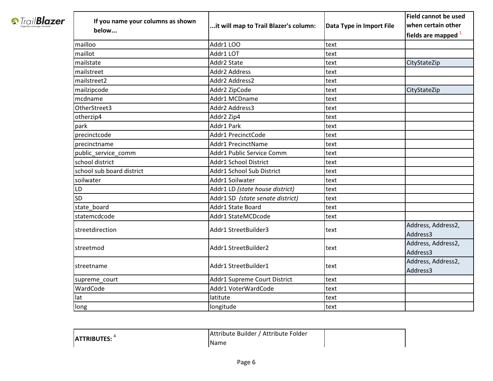|                                           |                                   |                                       |                          | <b>Field cannot be used</b>    |
|-------------------------------------------|-----------------------------------|---------------------------------------|--------------------------|--------------------------------|
| <b><i><u><i>S</i></u></i></b> TrailBlazer | If you name your columns as shown | it will map to Trail Blazer's column: | Data Type in Import File | when certain other             |
|                                           | below                             |                                       |                          | fields are mapped $^1$         |
|                                           | mailloo                           | Addr1 LOO                             | text                     |                                |
|                                           | maillot                           | Addr1 LOT                             | text                     |                                |
|                                           | mailstate                         | Addr2 State                           | text                     | CityStateZip                   |
|                                           | mailstreet                        | Addr2 Address                         | text                     |                                |
|                                           | mailstreet2                       | Addr2 Address2                        | text                     |                                |
|                                           | mailzipcode                       | Addr2 ZipCode                         | text                     | CityStateZip                   |
|                                           | mcdname                           | Addr1 MCDname                         | text                     |                                |
|                                           | OtherStreet3                      | Addr2 Address3                        | text                     |                                |
|                                           | otherzip4                         | Addr2 Zip4                            | text                     |                                |
|                                           | park                              | Addr1 Park                            | text                     |                                |
|                                           | precinctcode                      | Addr1 PrecinctCode                    | text                     |                                |
|                                           | precinctname                      | Addr1 PrecinctName                    | text                     |                                |
|                                           | public_service_comm               | Addr1 Public Service Comm             | text                     |                                |
|                                           | school district                   | Addr1 School District                 | text                     |                                |
|                                           | school sub board district         | Addr1 School Sub District             | text                     |                                |
|                                           | soilwater                         | Addr1 Soilwater                       | text                     |                                |
|                                           | <b>LD</b>                         | Addr1 LD (state house district)       | text                     |                                |
|                                           | <b>SD</b>                         | Addr1 SD (state senate district)      | text                     |                                |
|                                           | state board                       | Addr1 State Board                     | text                     |                                |
|                                           | statemcdcode                      | Addr1 StateMCDcode                    | text                     |                                |
|                                           | streetdirection                   | Addr1 StreetBuilder3                  | text                     | Address, Address2,<br>Address3 |
|                                           | streetmod                         | Addr1 StreetBuilder2                  | text                     | Address, Address2,<br>Address3 |
|                                           | streetname                        | Addr1 StreetBuilder1                  | text                     | Address, Address2,<br>Address3 |
|                                           | supreme_court                     | Addr1 Supreme Court District          | text                     |                                |
|                                           | WardCode                          | Addr1 VoterWardCode                   | text                     |                                |
|                                           | lat                               | latitute                              | text                     |                                |
|                                           | long                              | longitude                             | text                     |                                |

|                    | Attribute Builder / Attribute Folder |  |
|--------------------|--------------------------------------|--|
| <b>ATTRIBUTES:</b> | IName                                |  |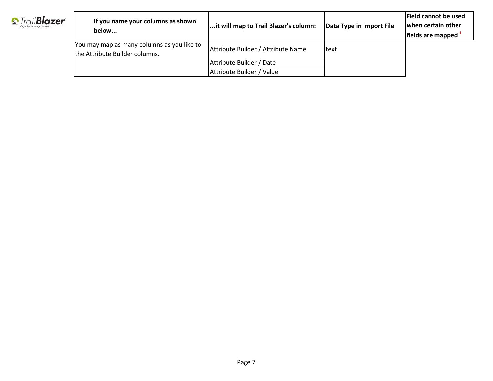| <b><i><u><i><u>S</u></i></u></i></b> TrailBlazer<br>Organize, Leverage, Succeed. | If you name your columns as shown<br>below                                    | it will map to Trail Blazer's column: | Data Type in Import File | <b>IField cannot be used</b><br>when certain other<br>lfields are mapped |
|----------------------------------------------------------------------------------|-------------------------------------------------------------------------------|---------------------------------------|--------------------------|--------------------------------------------------------------------------|
|                                                                                  | [You may map as many columns as you like to<br>the Attribute Builder columns. | Attribute Builder / Attribute Name    | <b>text</b>              |                                                                          |
|                                                                                  |                                                                               | Attribute Builder / Date              |                          |                                                                          |
|                                                                                  |                                                                               | Attribute Builder / Value             |                          |                                                                          |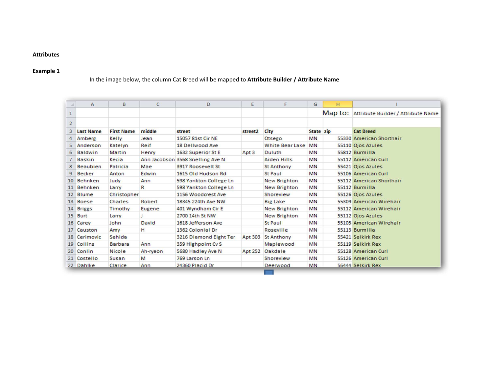### Attributes

# Example 1

# In the image below, the column Cat Breed will be mapped to Attribute Builder / Attribute Name

| $\mathcal{A}$   | $\mathsf{A}$     | B                 | c            | D                                | Ε                | F                      | G         | н       |                                    |
|-----------------|------------------|-------------------|--------------|----------------------------------|------------------|------------------------|-----------|---------|------------------------------------|
| $\mathbf{1}$    |                  |                   |              |                                  |                  |                        |           | Map to: | Attribute Builder / Attribute Name |
| $\overline{2}$  |                  |                   |              |                                  |                  |                        |           |         |                                    |
| 3               | <b>Last Name</b> | <b>First Name</b> | middle       | street                           | street2          | City                   | State zip |         | <b>Cat Breed</b>                   |
| 4               | Amberg           | Kelly             | Jean         | 15057 81st Cir NE                |                  | Otsego                 | <b>MN</b> |         | 55330 American Shorthair           |
| 5               | Anderson         | Katelyn           | Reif         | 18 Dellwood Ave                  |                  | <b>White Bear Lake</b> | <b>MN</b> |         | 55110 Ojos Azules                  |
| 6               | <b>Baldwin</b>   | Martin            | Henry        | 1632 Superior St E               | Apt <sub>3</sub> | Duluth                 | <b>MN</b> |         | 55812 Burmilla                     |
| $\overline{7}$  | <b>Baskin</b>    | Kecia             |              | Ann Jacobson 3568 Snelling Ave N |                  | <b>Arden Hills</b>     | <b>MN</b> |         | 55112 American Curl                |
| 8               | <b>Beaubien</b>  | Patricia          | Mae          | 3917 Roosevelt St                |                  | <b>St Anthony</b>      | <b>MN</b> |         | 55421 Ojos Azules                  |
| $\overline{9}$  | <b>Becker</b>    | Anton             | Edwin        | 1615 Old Hudson Rd               |                  | <b>St Paul</b>         | <b>MN</b> |         | 55106 American Curl                |
| 10 <sup>1</sup> | Behnken          | Judy              | Ann          | 598 Yankton College Ln           |                  | New Brighton           | <b>MN</b> |         | 55112 American Shorthair           |
| 11              | <b>Behnken</b>   | Larry             | R            | 598 Yankton College Ln           |                  | New Brighton           | <b>MN</b> |         | 55112 Burmilla                     |
|                 | 12 Blume         | Christopher       |              | 1156 Woodcrest Ave               |                  | Shoreview              | <b>MN</b> |         | 55126 Ojos Azules                  |
|                 | 13 Boese         | Charles           | Robert       | 18345 224th Ave NW               |                  | <b>Big Lake</b>        | <b>MN</b> |         | 55309 American Wirehair            |
|                 | 14 Briggs        | Timothy           | Eugene       | 401 Wyndham Cir E                |                  | <b>New Brighton</b>    | <b>MN</b> |         | 55112 American Wirehair            |
| 15              | <b>Burt</b>      | Larry             | т            | 2700 14th St NW                  |                  | New Brighton           | <b>MN</b> |         | 55112 Ojos Azules                  |
|                 | 16 Carey         | John              | <b>David</b> | 1618 Jefferson Ave               |                  | St Paul                | <b>MN</b> |         | 55105 American Wirehair            |
| 17              | Causton          | Amy               | н            | 1362 Colonial Dr                 |                  | Roseville              | <b>MN</b> |         | 55113 Burmilla                     |
|                 | 18 Cerimovic     | Sehida            |              | 3216 Diamond Eight Ter           | Apt 303          | <b>St Anthony</b>      | <b>MN</b> |         | 55421 Selkirk Rex                  |
|                 | 19 Collins       | <b>Barbara</b>    | Ann          | 359 Highpoint Cv S               |                  | Maplewood              | <b>MN</b> |         | 55119 Selkirk Rex                  |
| 20              | Conlin           | <b>Nicole</b>     | Ah-ryeon     | 5680 Hadley Ave N                |                  | Apt 252 Oakdale        | <b>MN</b> |         | 55128 American Curl                |
|                 | 21 Costello      | Susan             | M            | 769 Larson Ln                    |                  | Shoreview              | <b>MN</b> |         | 55126 American Curl                |
|                 | 22 Dahlke        | Clarice           | Ann          | 24360 Placid Dr                  |                  | Deerwood               | <b>MN</b> |         | 56444 Selkirk Rex                  |
|                 |                  |                   |              |                                  |                  |                        |           |         |                                    |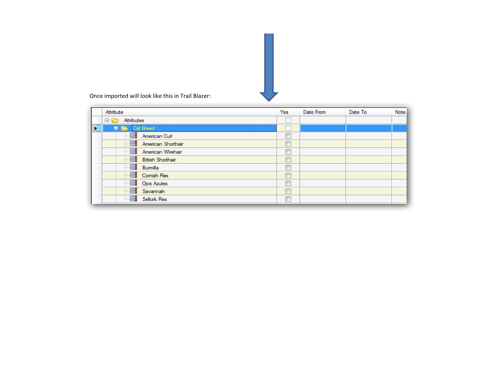

Once imported will look like this in Trail Blazer:

|   | Attribute                 | Yes | Date From | Date To | Note |
|---|---------------------------|-----|-----------|---------|------|
|   | Attributes<br><b>E</b>    |     |           |         |      |
| Þ | E <b>E</b> r Cat Breed    |     |           |         |      |
|   | <b>ER</b> American Curl   | E   |           |         |      |
|   | <b>American Shorthair</b> | C   |           |         |      |
|   | <b>American Wirehair</b>  | Đ   |           |         |      |
|   | <b>British Shorthair</b>  | C   |           |         |      |
|   | Burmilla                  | П   |           |         |      |
|   | <b>EB</b> Comish Rex      | E   |           |         |      |
|   | <b>EB</b> Ojos Azules     | F   |           |         |      |
|   | Bo Savannah               | Œ   |           |         |      |
|   | <b>Selkirk Rex</b>        | E   |           |         |      |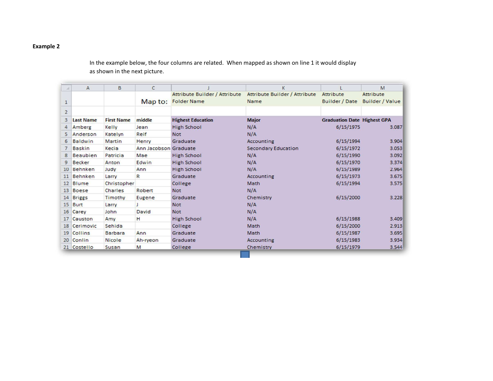## Example 2

In the example below, the four columns are related. When mapped as shown on line 1 it would display as shown in the next picture.

| $\mathcal{A}$  | $\mathsf{A}$     | B                 | C                     |                               | K                                    |                                    | M                      |
|----------------|------------------|-------------------|-----------------------|-------------------------------|--------------------------------------|------------------------------------|------------------------|
|                |                  |                   |                       | Attribute Builder / Attribute | <b>Attribute Builder / Attribute</b> | Attribute                          | <b>Attribute</b>       |
| $\mathbf{1}$   |                  |                   |                       | Map to: Folder Name           | Name                                 | <b>Builder / Date</b>              | <b>Builder / Value</b> |
| $\overline{2}$ |                  |                   |                       |                               |                                      |                                    |                        |
| 3              | <b>Last Name</b> | <b>First Name</b> | middle                | <b>Highest Education</b>      | <b>Major</b>                         | <b>Graduation Date Highest GPA</b> |                        |
| 4              | Amberg           | Kelly             | Jean                  | <b>High School</b>            | N/A                                  | 6/15/1975                          | 3.087                  |
| 5.             | Anderson         | Katelyn           | Reif                  | <b>Not</b>                    | N/A                                  |                                    |                        |
| 6              | <b>Baldwin</b>   | Martin            | Henry                 | Graduate                      | <b>Accounting</b>                    | 6/15/1994                          | 3.904                  |
| $\overline{7}$ | <b>Baskin</b>    | Kecia             | Ann Jacobson Graduate |                               | <b>Secondary Education</b>           | 6/15/1972                          | 3.053                  |
| 8              | <b>Beaubien</b>  | Patricia          | Mae                   | <b>High School</b>            | N/A                                  | 6/15/1990                          | 3.092                  |
| 9              | <b>Becker</b>    | Anton             | Edwin                 | <b>High School</b>            | N/A                                  | 6/15/1970                          | 3.374                  |
| 10             | <b>Behnken</b>   | Judy              | Ann                   | <b>High School</b>            | N/A                                  | 6/15/1989                          | 2.964                  |
| 11             | <b>Behnken</b>   | Larry             | R                     | Graduate                      | <b>Accounting</b>                    | 6/15/1973                          | 3.675                  |
| 12             | <b>Blume</b>     | Christopher       |                       | College                       | Math                                 | 6/15/1994                          | 3.575                  |
| 13             | <b>Boese</b>     | Charles           | Robert                | <b>Not</b>                    | N/A                                  |                                    |                        |
| 14             | <b>Briggs</b>    | <b>Timothy</b>    | Eugene                | Graduate                      | Chemistry                            | 6/15/2000                          | 3.228                  |
| 15             | <b>Burt</b>      | Larry             |                       | <b>Not</b>                    | N/A                                  |                                    |                        |
| 16             | Carey            | John              | David                 | <b>Not</b>                    | N/A                                  |                                    |                        |
| 17             | Causton          | Amy               | н                     | <b>High School</b>            | N/A                                  | 6/15/1988                          | 3.409                  |
| 18             | Cerimovic        | Sehida            |                       | College                       | Math                                 | 6/15/2000                          | 2.913                  |
| 19             | <b>Collins</b>   | <b>Barbara</b>    | Ann                   | Graduate                      | Math                                 | 6/15/1987                          | 3.695                  |
| 20             | Conlin           | <b>Nicole</b>     | Ah-ryeon              | Graduate                      | Accounting                           | 6/15/1983                          | 3.934                  |
|                | 21 Costello      | Susan             | M                     | College                       | Chemistry                            | 6/15/1979                          | 3.544                  |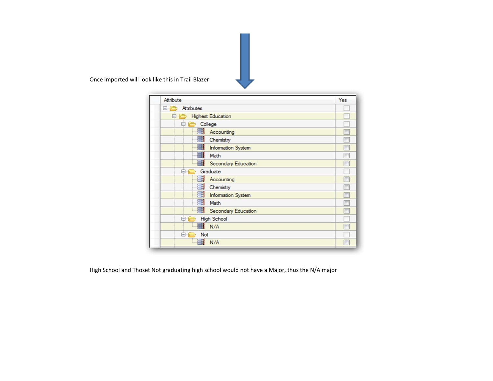Once imported will look like this in Trail Blazer:

| Attribute                                 | Yes |
|-------------------------------------------|-----|
| Attributes<br>8-1 <del>2</del>            |     |
| <b>Highest Education</b><br>$\Box$ $\Box$ |     |
| College<br>$\ominus$                      |     |
| E.<br>Accounting                          |     |
| E.<br>Chemistry                           |     |
| E.<br><b>Information System</b>           |     |
| 특<br>Math                                 |     |
| 昌<br><b>Secondary Education</b>           |     |
| Graduate<br>$\ominus$ $\ominus$           |     |
| E.<br>Accounting                          |     |
| 틐<br>Chemistry                            |     |
| E.<br><b>Information System</b>           |     |
| 昌<br>Math                                 |     |
| Secondary Education                       |     |
| <b>High School</b><br>$\ominus$           |     |
| a N/A                                     |     |
| <b>Not</b><br>A-C                         |     |
| 昌<br>N/A                                  |     |

High School and Thoset Not graduating high school would not have a Major, thus the N/A major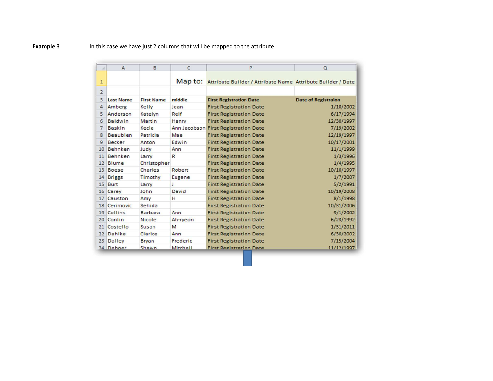## **Example 3** In this case we have just 2 columns that will be mapped to the attribute

| A              | $\mathsf{A}$     | B                 | $\mathsf{C}$ | P                                                                   | $\Omega$                   |
|----------------|------------------|-------------------|--------------|---------------------------------------------------------------------|----------------------------|
| $\mathbf{1}$   |                  |                   |              | Map to: Attribute Builder / Attribute Name Attribute Builder / Date |                            |
| $\overline{2}$ |                  |                   |              |                                                                     |                            |
| 3              | <b>Last Name</b> | <b>First Name</b> | middle       | <b>First Registration Date</b>                                      | <b>Date of Registraion</b> |
| 4              | Amberg           | Kelly             | Jean         | <b>First Registration Date</b>                                      | 1/10/2002                  |
| 5              | Anderson         | Katelyn           | Reif         | <b>First Registration Date</b>                                      | 6/17/1994                  |
| 6              | <b>Baldwin</b>   | Martin            | Henry        | <b>First Registration Date</b>                                      | 12/30/1997                 |
| 7              | <b>Baskin</b>    | Kecia             |              | Ann Jacobson First Registration Date                                | 7/19/2002                  |
| 8              | <b>Beaubien</b>  | Patricia          | Mae          | <b>First Registration Date</b>                                      | 12/19/1997                 |
| 9              | <b>Becker</b>    | Anton             | Edwin        | <b>First Registration Date</b>                                      | 10/17/2001                 |
| 10             | <b>Behnken</b>   | Judy              | Ann          | <b>First Registration Date</b>                                      | 11/1/1999                  |
| 11             | <b>Behnken</b>   | Larry             | R            | <b>First Registration Date</b>                                      | 1/3/1996                   |
| 12             | <b>Blume</b>     | Christopher       |              | <b>First Registration Date</b>                                      | 1/4/1995                   |
| 13             | <b>Boese</b>     | <b>Charles</b>    | Robert       | <b>First Registration Date</b>                                      | 10/10/1997                 |
| 14             | <b>Briggs</b>    | Timothy           | Eugene       | <b>First Registration Date</b>                                      | 1/7/2007                   |
| 15             | <b>Burt</b>      | Larry             | J            | <b>First Registration Date</b>                                      | 5/2/1991                   |
| 16             | Carey            | John              | David        | <b>First Registration Date</b>                                      | 10/19/2008                 |
| 17             | Causton          | Amy               | н            | <b>First Registration Date</b>                                      | 8/1/1998                   |
| 18             | Cerimovic        | Sehida            |              | <b>First Registration Date</b>                                      | 10/31/2006                 |
| 19             | Collins          | <b>Barbara</b>    | Ann          | <b>First Registration Date</b>                                      | 9/1/2002                   |
| 20             | Conlin           | <b>Nicole</b>     | Ah-ryeon     | <b>First Registration Date</b>                                      | 6/23/1992                  |
| 21             | Costello         | Susan             | м            | <b>First Registration Date</b>                                      | 1/31/2011                  |
| 22             | Dahlke           | Clarice           | Ann          | <b>First Registration Date</b>                                      | 6/30/2002                  |
| 23             | Dalley           | <b>Bryan</b>      | Frederic     | <b>First Registration Date</b>                                      | 7/15/2004                  |
|                | 24 Deboer        | Shawn             | Mitchell     | <b>First Registration Date</b>                                      | 11/12/1997                 |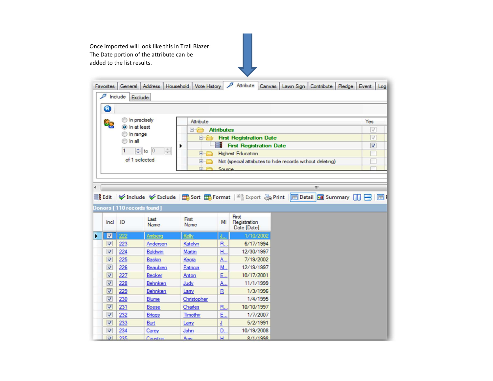Once imported will look like this in Trail Blazer: The Date portion of the attribute can be added to the list results.Attribute Canvas | Lawn Sign | Contribute | Pledge | Event | Log Favorites General Address Household Vote History  $\mathcal{F}$  Include Exclude  $\bullet$ n precisely Attribute Yes 80 O In at least **E Attributes**  $\sqrt{}$ n range **Englisher Registration Date**  $\sqrt{ }$  $\odot$  In all **ER** First Registration Date  $\overline{\mathbf{v}}$ ▶  $\div$  to 0  $\frac{\lambda}{\Psi}$  $\vert$ 1 **El Highest Education** П of 1 selected Not (special attributes to hide records without deleting) П FI-Ca Source  $\leftarrow$  $\rm III$ Es Edit | V Include V Exclude | E Sort E Format | Export & Print | B Detail | Summary | | | | | | | | | | Donors [110 records found] First First Last Incl ID MI Registration Name Name Date [Date]  $\boxed{1}$  $\blacktriangleright$ 222 Amberg Kelly 1/10/2002  $\boxed{v}$  $223$ Katelyn **R.** 6/17/1994 Anderson  $\boldsymbol{J}$  $224$ H., 12/30/1997 Baldwin Martin  $\boxed{\mathbf{v}}$ 225 Baskin 7/19/2002 Kecia A.,  $\overline{J}$ 226 Beaubien Patricia M. 12/19/1997  $\boxed{\mathbf{v}}$ 227 Becker Anton E., 10/17/2001  $\overline{\mathcal{L}}$ 228 A., 11/1/1999 Behnken Judy  $\boxed{v}$ 229 Behnken  $\mathbf{R}$ 1/3/1996 Lany  $\overline{\mathcal{L}}$ 230 Blume Christopher  $1/4/1995$  $\overline{\mathbf{v}}$ 231 Boese Charles R., 10/10/1997 E.,  $\overline{\mathcal{L}}$ 232 **Briggs** Timothy 1/7/2007  $\boxed{\mathbf{v}}$ 233 Burt Lamy T  $5/2/1991$  $\boldsymbol{v}$ 234 Carey John D., 10/19/2008  $\sqrt{2}$  235  $H$  $R/1/199R$ Causton Amy